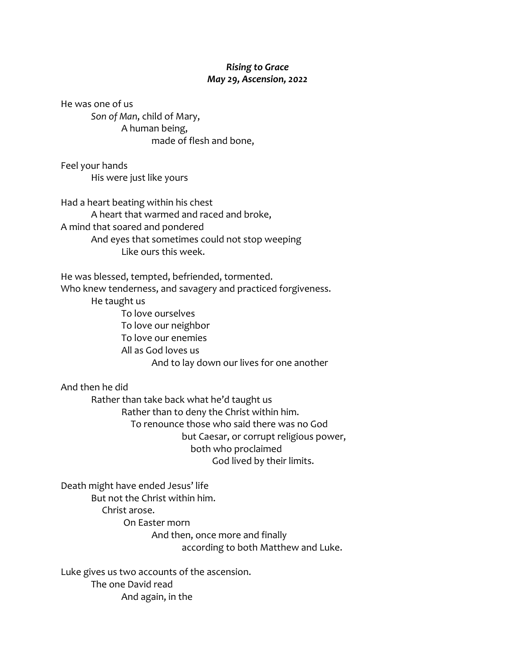## *Rising to Grace May 29, Ascension, 2022*

He was one of us *Son of Man*, child of Mary, A human being, made of flesh and bone,

Feel your hands His were just like yours

Had a heart beating within his chest A heart that warmed and raced and broke, A mind that soared and pondered And eyes that sometimes could not stop weeping Like ours this week.

He was blessed, tempted, befriended, tormented. Who knew tenderness, and savagery and practiced forgiveness. He taught us To love ourselves To love our neighbor To love our enemies All as God loves us And to lay down our lives for one another

And then he did

Rather than take back what he'd taught us Rather than to deny the Christ within him. To renounce those who said there was no God but Caesar, or corrupt religious power, both who proclaimed God lived by their limits.

Death might have ended Jesus' life But not the Christ within him. Christ arose. On Easter morn And then, once more and finally according to both Matthew and Luke.

Luke gives us two accounts of the ascension. The one David read And again, in the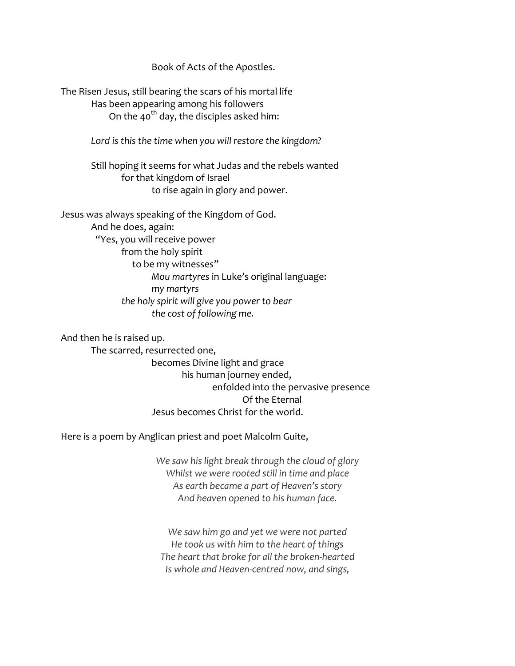Book of Acts of the Apostles.

The Risen Jesus, still bearing the scars of his mortal life Has been appearing among his followers On the 40<sup>th</sup> day, the disciples asked him:

*Lord is this the time when you will restore the kingdom?*

Still hoping it seems for what Judas and the rebels wanted for that kingdom of Israel to rise again in glory and power.

Jesus was always speaking of the Kingdom of God. And he does, again: "Yes, you will receive power from the holy spirit to be my witnesse*s" Mou martyres* in Luke's original language: *my martyrs the holy spirit will give you power to bear the cost of following me.* 

And then he is raised up.

The scarred, resurrected one, becomes Divine light and grace his human journey ended, enfolded into the pervasive presence Of the Eternal Jesus becomes Christ for the world.

Here is a poem by Anglican priest and poet Malcolm Guite,

*We saw his light break through the cloud of glory Whilst we were rooted still in time and place As earth became a part of Heaven's story And heaven opened to his human face.*

*We saw him go and yet we were not parted He took us with him to the heart of things The heart that broke for all the broken-hearted Is whole and Heaven-centred now, and sings,*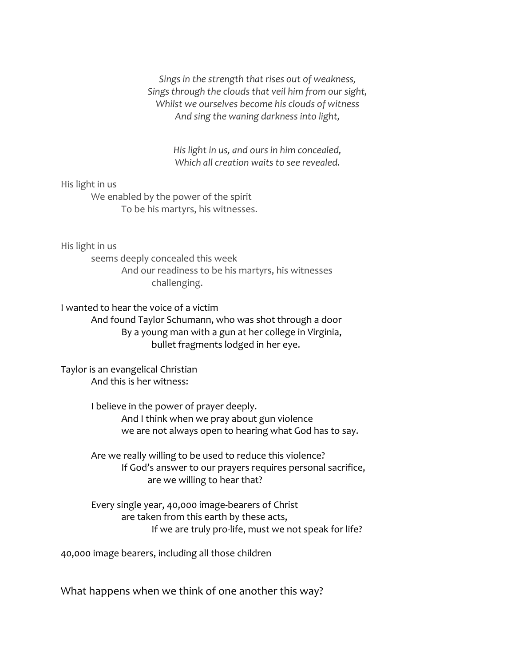*Sings in the strength that rises out of weakness, Sings through the clouds that veil him from our sight, Whilst we ourselves become his clouds of witness And sing the waning darkness into light,*

> *His light in us, and ours in him concealed, Which all creation waits to see revealed.*

His light in us We enabled by the power of the spirit

To be his martyrs, his witnesses.

His light in us

seems deeply concealed this week And our readiness to be his martyrs, his witnesses challenging.

I wanted to hear the voice of a victim And found Taylor Schumann, who was shot through a door By a young man with a gun at her college in Virginia, bullet fragments lodged in her eye.

Taylor is an evangelical Christian And this is her witness:

> I believe in the power of prayer deeply. And I think when we pray about gun violence we are not always open to hearing what God has to say.

Are we really willing to be used to reduce this violence? If God's answer to our prayers requires personal sacrifice, are we willing to hear that?

Every single year, 40,000 image-bearers of Christ are taken from this earth by these acts, If we are truly pro-life, must we not speak for life?

40,000 image bearers, including all those children

What happens when we think of one another this way?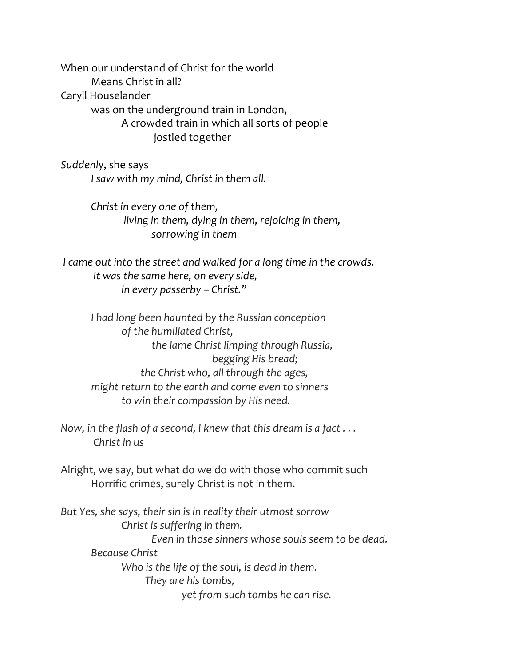When our understand of Christ for the world Means Christ in all? Caryll Houselander was on the underground train in London, A crowded train in which all sorts of people jostled together

*Suddenl*y, she says *I saw with my mind, Christ in them all.* 

> *Christ in every one of them, living in them, dying in them, rejoicing in them, sorrowing in them*

*I came out into the street and walked for a long time in the crowds. It was the same here, on every side, in every passerby – Christ."*

*I had long been haunted by the Russian conception of the humiliated Christ, the lame Christ limping through Russia, begging His bread; the Christ who, all through the ages, might return to the earth and come even to sinners to win their compassion by His need.* 

*Now, in the flash of a second, I knew that this dream is a fact . . . Christ in us*

Alright, we say, but what do we do with those who commit such Horrific crimes, surely Christ is not in them.

*But Yes, she says, their sin is in reality their utmost sorrow Christ is suffering in them. Even in those sinners whose souls seem to be dead. Because Christ Who is the life of the soul, is dead in them. They are his tombs, yet from such tombs he can rise.*